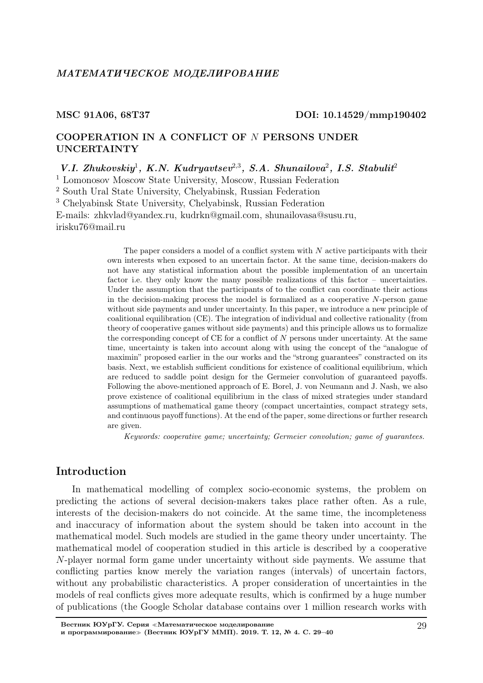## МАТЕМАТИЧЕСКОЕ МОДЕЛИРОВАНИЕ

### MSC 91A06, 68T37 DOI: 10.14529/mmp190402

# COOPERATION IN A CONFLICT OF N PERSONS UNDER UNCERTAINTY

V.I. Zhukovskiy<sup>1</sup>, K.N. Kudryavtsev<sup>2,3</sup>, S.A. Shunailova<sup>2</sup>, I.S. Stabulit<sup>2</sup> <sup>1</sup> Lomonosov Moscow State University, Moscow, Russian Federation <sup>2</sup> South Ural State University, Chelyabinsk, Russian Federation <sup>3</sup> Chelyabinsk State University, Chelyabinsk, Russian Federation E-mails: zhkvlad@yandex.ru, kudrkn@gmail.com, shunailovasa@susu.ru, irisku76@mail.ru

> The paper considers a model of a conflict system with  $N$  active participants with their own interests when exposed to an uncertain factor. At the same time, decision-makers do not have any statistical information about the possible implementation of an uncertain factor i.e. they only know the many possible realizations of this factor – uncertainties. Under the assumption that the participants of to the conflict can coordinate their actions in the decision-making process the model is formalized as a cooperative  $N$ -person game without side payments and under uncertainty. In this paper, we introduce a new principle of coalitional equilibration (CE). The integration of individual and collective rationality (from theory of cooperative games without side payments) and this principle allows us to formalize the corresponding concept of CE for a conflict of  $N$  persons under uncertainty. At the same time, uncertainty is taken into account along with using the concept of the "analogue of maximin" proposed earlier in the our works and the "strong guarantees" constracted on its basis. Next, we establish sufficient conditions for existence of coalitional equilibrium, which are reduced to saddle point design for the Germeier convolution of guaranteed payoffs. Following the above-mentioned approach of E. Borel, J. von Neumann and J. Nash, we also prove existence of coalitional equilibrium in the class of mixed strategies under standard assumptions of mathematical game theory (compact uncertainties, compact strategy sets, and continuous payoff functions). At the end of the paper, some directions or further research are given.

Keywords: cooperative game; uncertainty; Germeier convolution; game of guarantees.

# Introduction

In mathematical modelling of complex socio-economic systems, the problem on predicting the actions of several decision-makers takes place rather often. As a rule, interests of the decision-makers do not coincide. At the same time, the incompleteness and inaccuracy of information about the system should be taken into account in the mathematical model. Such models are studied in the game theory under uncertainty. The mathematical model of cooperation studied in this article is described by a cooperative N-player normal form game under uncertainty without side payments. We assume that conflicting parties know merely the variation ranges (intervals) of uncertain factors, without any probabilistic characteristics. A proper consideration of uncertainties in the models of real conflicts gives more adequate results, which is confirmed by a huge number of publications (the Google Scholar database contains over 1 million research works with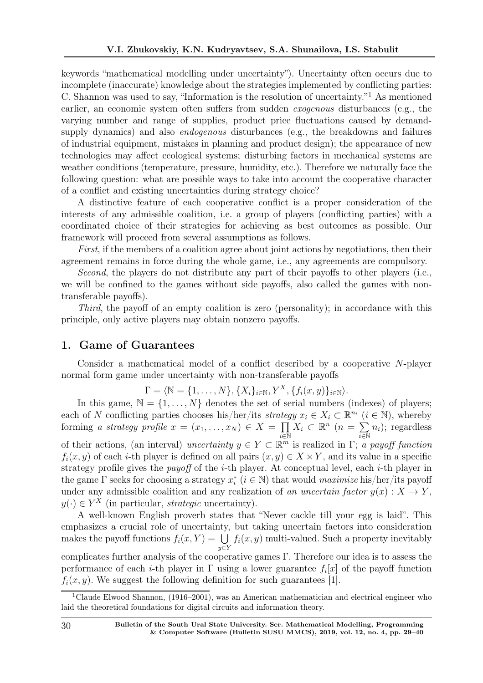keywords "mathematical modelling under uncertainty"). Uncertainty often occurs due to incomplete (inaccurate) knowledge about the strategies implemented by conflicting parties: C. Shannon was used to say, "Information is the resolution of uncertainty."<sup>1</sup> As mentioned earlier, an economic system often suffers from sudden exogenous disturbances (e.g., the varying number and range of supplies, product price fluctuations caused by demandsupply dynamics) and also *endogenous* disturbances (e.g., the breakdowns and failures of industrial equipment, mistakes in planning and product design); the appearance of new technologies may affect ecological systems; disturbing factors in mechanical systems are weather conditions (temperature, pressure, humidity, etc.). Therefore we naturally face the following question: what are possible ways to take into account the cooperative character of a conflict and existing uncertainties during strategy choice?

A distinctive feature of each cooperative conflict is a proper consideration of the interests of any admissible coalition, i.e. a group of players (conflicting parties) with a coordinated choice of their strategies for achieving as best outcomes as possible. Our framework will proceed from several assumptions as follows.

First, if the members of a coalition agree about joint actions by negotiations, then their agreement remains in force during the whole game, i.e., any agreements are compulsory.

Second, the players do not distribute any part of their payoffs to other players (i.e., we will be confined to the games without side payoffs, also called the games with nontransferable payoffs).

Third, the payoff of an empty coalition is zero (personality); in accordance with this principle, only active players may obtain nonzero payoffs.

## 1. Game of Guarantees

Consider a mathematical model of a conflict described by a cooperative N-player normal form game under uncertainty with non-transferable payoffs

$$
\Gamma = \langle \mathbb{N} = \{1, \ldots, N\}, \{X_i\}_{i \in \mathbb{N}}, Y^X, \{f_i(x, y)\}_{i \in \mathbb{N}}\rangle.
$$

In this game,  $\mathbb{N} = \{1, \ldots, N\}$  denotes the set of serial numbers (indexes) of players; each of N conflicting parties chooses his/her/its strategy  $x_i \in X_i \subset \mathbb{R}^{n_i}$   $(i \in \mathbb{N})$ , whereby forming a strategy profile  $x = (x_1, \ldots, x_N) \in X = \prod$  $\bar{i} \in \mathbb{\overline{N}}$  $X_i \subset \mathbb{R}^n$   $(n = \sum)$  $\overline{\overline{i}}$ EN  $n_i$ ); regardless of their actions, (an interval) uncertainty  $y \in Y \subset \mathbb{R}^m$  is realized in  $\Gamma$ ; a payoff function  $f_i(x, y)$  of each *i*-th player is defined on all pairs  $(x, y) \in X \times Y$ , and its value in a specific strategy profile gives the *payoff* of the  $i$ -th player. At conceptual level, each  $i$ -th player in the game  $\Gamma$  seeks for choosing a strategy  $x_i^*$   $(i \in \mathbb{N})$  that would *maximize* his/her/its payoff under any admissible coalition and any realization of an uncertain factor  $y(x) : X \to Y$ ,  $y(\cdot) \in Y^X$  (in particular, *strategic* uncertainty).

A well-known English proverb states that "Never cackle till your egg is laid". This emphasizes a crucial role of uncertainty, but taking uncertain factors into consideration makes the payoff functions  $f_i(x, Y) = \bigcup$ y∈Y  $f_i(x, y)$  multi-valued. Such a property inevitably complicates further analysis of the cooperative games Γ. Therefore our idea is to assess the performance of each *i*-th player in  $\Gamma$  using a lower guarantee  $f_i[x]$  of the payoff function  $f_i(x, y)$ . We suggest the following definition for such guarantees [1].

30 Bulletin of the South Ural State University. Ser. Mathematical Modelling, Programming & Computer Software (Bulletin SUSU MMCS), 2019, vol. 12, no. 4, pp. 29–40

<sup>1</sup>Claude Elwood Shannon, (1916–2001), was an American mathematician and electrical engineer who laid the theoretical foundations for digital circuits and information theory.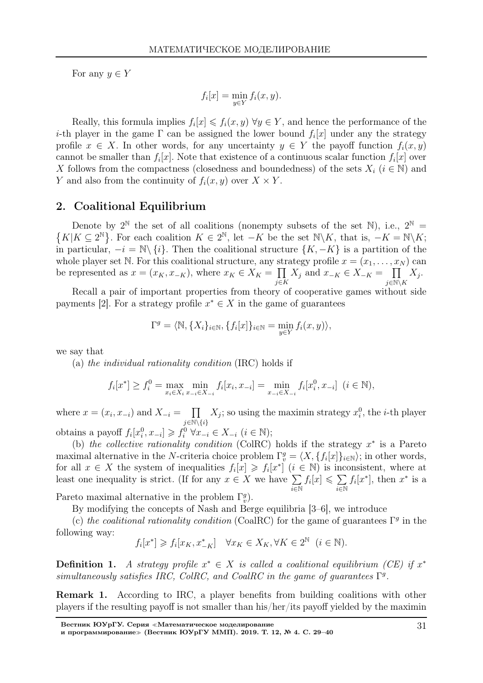For any  $y \in Y$ 

$$
f_i[x] = \min_{y \in Y} f_i(x, y).
$$

Really, this formula implies  $f_i[x] \leq f_i(x, y)$   $\forall y \in Y$ , and hence the performance of the *i*-th player in the game  $\Gamma$  can be assigned the lower bound  $f_i[x]$  under any the strategy profile  $x \in X$ . In other words, for any uncertainty  $y \in Y$  the payoff function  $f_i(x, y)$ cannot be smaller than  $f_i[x]$ . Note that existence of a continuous scalar function  $f_i[x]$  over X follows from the compactness (closedness and boundedness) of the sets  $X_i$  ( $i \in \mathbb{N}$ ) and Y and also from the continuity of  $f_i(x, y)$  over  $X \times Y$ .

## 2. Coalitional Equilibrium

Denote by  $2^{\mathbb{N}}$  the set of all coalitions (nonempty subsets of the set  $\mathbb{N}$ ), i.e., 2 Denote by  $2^{\mathbb{N}}$  the set of all coalitions (nonempty subsets of the set  $\mathbb{N}$ ), i.e.,  $2^{\mathbb{N}} = \{K | K \subseteq 2^{\mathbb{N}}\}$ . For each coalition  $K \in 2^{\mathbb{N}}$ , let  $-K$  be the set  $\mathbb{N} \setminus K$ , that is,  $-K = \mathbb{N} \setminus K$ ; in particular,  $-i = \mathbb{N} \setminus \{i\}$ . Then the coalitional structure  $\{K, -K\}$  is a partition of the whole player set N. For this coalitional structure, any strategy profile  $x = (x_1, \ldots, x_N)$  can be represented as  $x = (x_K, x_{-K})$ , where  $x_K \in X_K = \prod$ j∈K  $X_j$  and  $x_{-K} \in X_{-K} = \prod$  $j \in \mathbb{N} \backslash K$  $X_j$ .

Recall a pair of important properties from theory of cooperative games without side payments [2]. For a strategy profile  $x^* \in X$  in the game of guarantees

$$
\Gamma^g = \langle \mathbb{N}, \{X_i\}_{i \in \mathbb{N}}, \{f_i[x]\}_{i \in \mathbb{N}} = \min_{y \in Y} f_i(x, y) \rangle,
$$

we say that

(a) the individual rationality condition (IRC) holds if

$$
f_i[x^*] \ge f_i^0 = \max_{x_i \in X_i} \min_{x_{-i} \in X_{-i}} f_i[x_i, x_{-i}] = \min_{x_{-i} \in X_{-i}} f_i[x_i^0, x_{-i}] \ (i \in \mathbb{N}),
$$

where  $x = (x_i, x_{-i})$  and  $X_{-i} = \prod$  $j \in \mathbb{N} \backslash \{i\}$  $X_j$ ; so using the maximin strategy  $x_i^0$ , the *i*-th player obtains a payoff  $f_i[x_i^0, x_{-i}] \geq f_i^0 \,\forall x_{-i} \in X_{-i} \,\, (i \in \mathbb{N});$ 

(b) the collective rationality condition (ColRC) holds if the strategy  $x^*$  is a Pareto maximal alternative in the N-criteria choice problem  $\Gamma_v^g = \langle X, \{f_i[x]\}_{i \in \mathbb{N}}\rangle$ ; in other words, for all  $x \in X$  the system of inequalities  $f_i[x] \geq f_i[x^*]$   $(i \in \mathbb{N})$  is inconsistent, where at least one inequality is strict. (If for any  $x \in X$  we have  $\sum$  $\overline{i\in\mathbb{N}}$  $f_i[x] \leqslant \sum$  $\overline{\overline{i}}$ EN  $f_i[x^*]$ , then  $x^*$  is a

Pareto maximal alternative in the problem  $\Gamma_v^g$ ).

By modifying the concepts of Nash and Berge equilibria [3–6], we introduce

(c) the coalitional rationality condition (CoalRC) for the game of guarantees  $\Gamma<sup>g</sup>$  in the following way:

$$
f_i[x^*] \geq f_i[x_K, x_{-K}^*] \quad \forall x_K \in X_K, \forall K \in 2^{\mathbb{N}} \ (i \in \mathbb{N}).
$$

**Definition 1.** A strategy profile  $x^* \in X$  is called a coalitional equilibrium (CE) if  $x^*$ simultaneously satisfies IRC, ColRC, and CoalRC in the game of guarantees  $\Gamma^g$ .

Remark 1. According to IRC, a player benefits from building coalitions with other players if the resulting payoff is not smaller than his/her/its payoff yielded by the maximin

Вестник ЮУрГУ. Серия <sup>≪</sup>Математическое моделирование

и программирование≫ (Вестник ЮУрГУ ММП). 2019. Т. 12, № 4. С. 29–40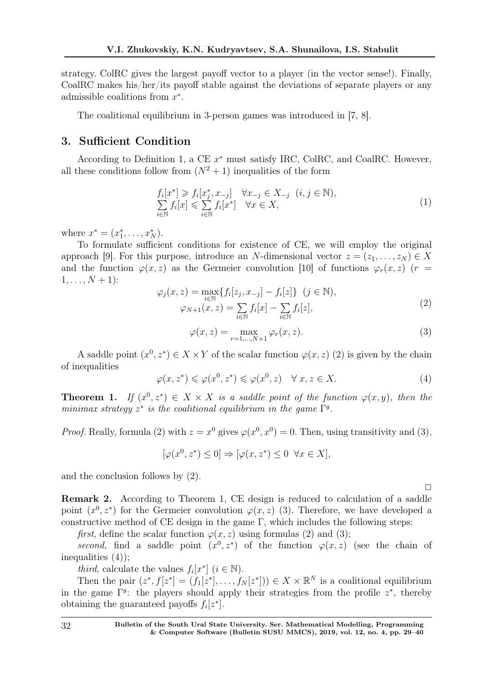strategy. ColRC gives the largest payoff vector to a player (in the vector sense!). Finally, CoalRC makes his/her/its payoff stable against the deviations of separate players or any admissible coalitions from  $x^*$ .

The coalitional equilibrium in 3-person games was introduced in [7, 8].

# 3. Sufficient Condition

According to Definition 1, a CE  $x^*$  must satisfy IRC, ColRC, and CoalRC. However, all these conditions follow from  $(N^2 + 1)$  inequalities of the form

$$
f_i[x^*] \ge f_i[x_j^*, x_{-j}] \quad \forall x_{-j} \in X_{-j} \quad (i, j \in \mathbb{N}),
$$
  

$$
\sum_{i \in \mathbb{N}} f_i[x] \le \sum_{i \in \mathbb{N}} f_i[x^*] \quad \forall x \in X,
$$
 (1)

where  $x^* = (x_1^*, \ldots, x_N^*)$ .

To formulate sufficient conditions for existence of CE, we will employ the original approach [9]. For this purpose, introduce an N-dimensional vector  $z = (z_1, \ldots, z_N) \in X$ and the function  $\varphi(x, z)$  as the Germeier convolution [10] of functions  $\varphi_r(x, z)$  (r =  $1, \ldots, N + 1$ :

$$
\varphi_j(x, z) = \max_{i \in \mathbb{N}} \{ f_i[z_j, x_{-j}] - f_i[z] \} \quad (j \in \mathbb{N}),
$$
  

$$
\varphi_{N+1}(x, z) = \sum_{i \in \mathbb{N}} f_i[x] - \sum_{i \in \mathbb{N}} f_i[z],
$$
 (2)

$$
\varphi(x,z) = \max_{r=1,\dots,N+1} \varphi_r(x,z). \tag{3}
$$

A saddle point  $(x^0, z^*) \in X \times Y$  of the scalar function  $\varphi(x, z)$  (2) is given by the chain of inequalities

$$
\varphi(x, z^*) \leq \varphi(x^0, z^*) \leq \varphi(x^0, z) \quad \forall \ x, z \in X. \tag{4}
$$

**Theorem 1.** If  $(x^0, z^*) \in X \times X$  is a saddle point of the function  $\varphi(x, y)$ , then the minimax strategy  $z^*$  is the coalitional equilibrium in the game  $\Gamma^g$ .

*Proof.* Really, formula (2) with  $z = x^0$  gives  $\varphi(x^0, x^0) = 0$ . Then, using transitivity and (3),

$$
[\varphi(x^0, z^*) \le 0] \Rightarrow [\varphi(x, z^*) \le 0 \ \forall x \in X],
$$

and the conclusion follows by (2).

Remark 2. According to Theorem 1, CE design is reduced to calculation of a saddle point  $(x^0, z^*)$  for the Germeier convolution  $\varphi(x, z)$  (3). Therefore, we have developed a constructive method of CE design in the game  $\Gamma$ , which includes the following steps:

first, define the scalar function  $\varphi(x, z)$  using formulas (2) and (3);

second, find a saddle point  $(x^0, z^*)$  of the function  $\varphi(x, z)$  (see the chain of inequalities (4));

*third*, calculate the values  $f_i[x^*]$   $(i \in \mathbb{N})$ .

Then the pair  $(z^*, f[z^*]) = (f_1[z^*], \ldots, f_N[z^*]) \in X \times \mathbb{R}^N$  is a coalitional equilibrium in the game  $\Gamma^g$ : the players should apply their strategies from the profile  $z^*$ , thereby obtaining the guaranteed payoffs  $f_i[z^*]$ .

 $\Box$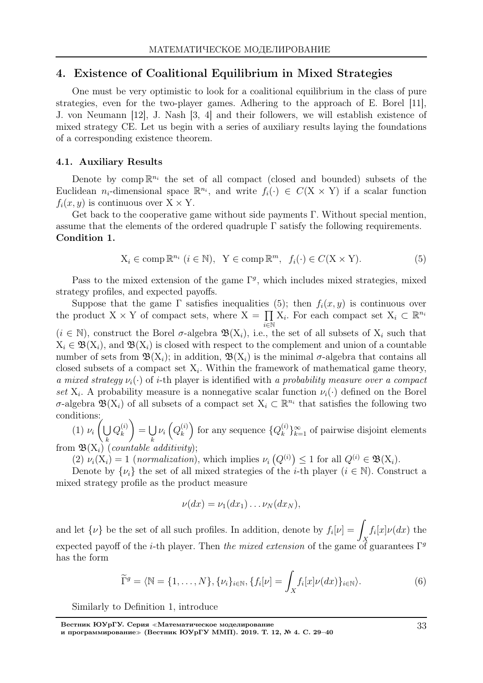## 4. Existence of Coalitional Equilibrium in Mixed Strategies

One must be very optimistic to look for a coalitional equilibrium in the class of pure strategies, even for the two-player games. Adhering to the approach of E. Borel [11], J. von Neumann [12], J. Nash [3, 4] and their followers, we will establish existence of mixed strategy CE. Let us begin with a series of auxiliary results laying the foundations of a corresponding existence theorem.

### 4.1. Auxiliary Results

Denote by comp  $\mathbb{R}^{n_i}$  the set of all compact (closed and bounded) subsets of the Euclidean  $n_i$ -dimensional space  $\mathbb{R}^{n_i}$ , and write  $f_i(\cdot) \in C(\mathbb{X} \times \mathbb{Y})$  if a scalar function  $f_i(x, y)$  is continuous over  $X \times Y$ .

Get back to the cooperative game without side payments  $\Gamma$ . Without special mention, assume that the elements of the ordered quadruple  $\Gamma$  satisfy the following requirements. Condition 1.

$$
X_i \in \text{comp } \mathbb{R}^{n_i} \ (i \in \mathbb{N}), \ Y \in \text{comp } \mathbb{R}^m, \ f_i(\cdot) \in C(X \times Y). \tag{5}
$$

Pass to the mixed extension of the game  $\Gamma^g$ , which includes mixed strategies, mixed strategy profiles, and expected payoffs.

Suppose that the game  $\Gamma$  satisfies inequalities (5); then  $f_i(x, y)$  is continuous over the product  $X \times Y$  of compact sets, where  $X = \prod$  $\bar{i}$ ∈ $\bar{\mathbb{N}}$  $X_i$ . For each compact set  $X_i \subset \mathbb{R}^{n_i}$  $(i \in \mathbb{N})$ , construct the Borel  $\sigma$ -algebra  $\mathfrak{B}(X_i)$ , i.e., the set of all subsets of  $X_i$  such that  $X_i \in \mathfrak{B}(X_i)$ , and  $\mathfrak{B}(X_i)$  is closed with respect to the complement and union of a countable number of sets from  $\mathfrak{B}(X_i)$ ; in addition,  $\mathfrak{B}(X_i)$  is the minimal  $\sigma$ -algebra that contains all closed subsets of a compact set  $X_i$ . Within the framework of mathematical game theory, a mixed strategy  $\nu_i(\cdot)$  of i-th player is identified with a probability measure over a compact set  $X_i$ . A probability measure is a nonnegative scalar function  $\nu_i(\cdot)$  defined on the Borel σ-algebra  $\mathfrak{B}(X_i)$  of all subsets of a compact set  $X_i \subset \mathbb{R}^{n_i}$  that satisfies the following two conditions:

 $(1)$   $\nu_i$  $\int$ k  $Q_k^{(i)}$ k  $\setminus$  $=$   $\cup$ k  $\nu_i\left(Q_k^{(i)}\right)$ k ) for any sequence  $\{Q_k^{(i)}\}$  $\binom{v}{k}_{k=1}^{\infty}$  of pairwise disjoint elements from  $\mathfrak{B}(X_i)$  (countable additivity);

(2)  $\nu_i(X_i) = 1$  (normalization), which implies  $\nu_i(Q^{(i)}) \leq 1$  for all  $Q^{(i)} \in \mathfrak{B}(X_i)$ .

Denote by  $\{\nu_i\}$  the set of all mixed strategies of the *i*-th player ( $i \in \mathbb{N}$ ). Construct a mixed strategy profile as the product measure

$$
\nu(dx)=\nu_1(dx_1)\ldots\nu_N(dx_N),
$$

and let  $\{\nu\}$  be the set of all such profiles. In addition, denote by  $f_i[\nu] = \nu$  $\frac{X}{2}$  $f_i[x]\nu(dx)$  the expected payoff of the *i*-th player. Then the mixed extension of the game of guarantees  $\Gamma^g$ has the form

$$
\widetilde{\Gamma}^g = \langle \mathbb{N} = \{1, \dots, N\}, \{\nu_i\}_{i \in \mathbb{N}}, \{f_i[\nu] = \int_X f_i[x] \nu(dx)\}_{i \in \mathbb{N}}\rangle. \tag{6}
$$

Similarly to Definition 1, introduce

Вестник ЮУрГУ. Серия <sup>≪</sup>Математическое моделирование и программирование<sup>≫</sup> (Вестник ЮУрГУ ММП). 2019. Т. 12, № 4. С. 29–40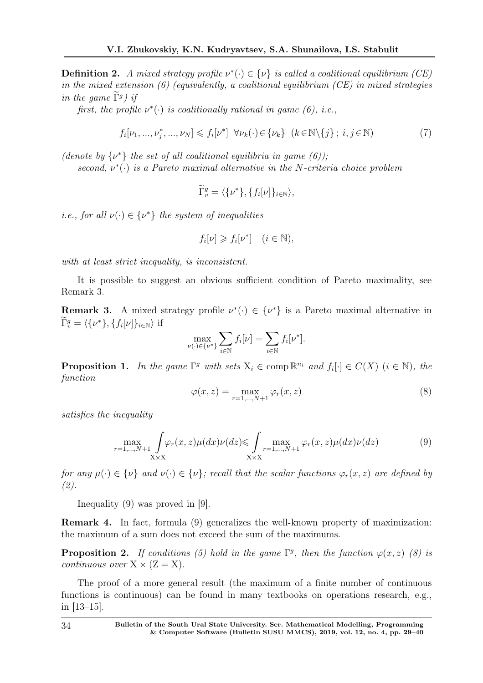**Definition 2.** A mixed strategy profile  $\nu^*(\cdot) \in {\{\nu\}}$  is called a coalitional equilibrium (CE) in the mixed extension  $(6)$  (equivalently, a coalitional equilibrium  $(CE)$  in mixed strategies in the game  $\Gamma^g$ ) if

first, the profile  $\nu^*(\cdot)$  is coalitionally rational in game (6), i.e.,

$$
f_i[\nu_1, \ldots, \nu_j^*, \ldots, \nu_N] \leqslant f_i[\nu^*] \quad \forall \nu_k(\cdot) \in {\{\nu_k\}} \quad (k \in \mathbb{N} \setminus {\{j\}} \; ; \; i, j \in \mathbb{N}) \tag{7}
$$

(denote by  $\{\nu^*\}$  the set of all coalitional equilibria in game (6));

second,  $\nu^*(\cdot)$  is a Pareto maximal alternative in the N-criteria choice problem

$$
\widetilde{\Gamma}^g_v = \langle \{ \nu^* \}, \{ f_i[\nu] \}_{i \in \mathbb{N}} \rangle,
$$

*i.e.*, for all  $\nu(\cdot) \in {\{\nu^*\}}$  the system of inequalities

$$
f_i[\nu] \geqslant f_i[\nu^*] \quad (i \in \mathbb{N}),
$$

with at least strict inequality, is inconsistent.

It is possible to suggest an obvious sufficient condition of Pareto maximality, see Remark 3.

**Remark 3.** A mixed strategy profile  $\nu^*(\cdot) \in {\{\nu^*\}}$  is a Pareto maximal alternative in  $\Gamma_v^g = \langle \{\nu^*\}, \{f_i[\nu]\}_{i \in \mathbb{N}} \rangle$  if

$$
\max_{\nu(\cdot)\in\{\nu^*\}}\sum_{i\in\mathbb{N}}f_i[\nu]=\sum_{i\in\mathbb{N}}f_i[\nu^*].
$$

**Proposition 1.** In the game  $\Gamma^g$  with sets  $X_i \in \text{comp } \mathbb{R}^{n_i}$  and  $f_i[\cdot] \in C(X)$   $(i \in \mathbb{N})$ , the function

$$
\varphi(x,z) = \max_{r=1,\dots,N+1} \varphi_r(x,z)
$$
\n(8)

satisfies the inequality

$$
\max_{r=1,\dots,N+1} \int_{X\times X} \varphi_r(x,z)\mu(dx)\nu(dz) \leq \int_{X\times X} \max_{r=1,\dots,N+1} \varphi_r(x,z)\mu(dx)\nu(dz) \tag{9}
$$

for any  $\mu(\cdot) \in \{\nu\}$  and  $\nu(\cdot) \in \{\nu\}$ ; recall that the scalar functions  $\varphi_r(x, z)$  are defined by (2).

Inequality (9) was proved in [9].

Remark 4. In fact, formula (9) generalizes the well-known property of maximization: the maximum of a sum does not exceed the sum of the maximums.

**Proposition 2.** If conditions (5) hold in the game  $\Gamma$ <sup>g</sup>, then the function  $\varphi(x, z)$  (8) is continuous over  $X \times (Z = X)$ .

The proof of a more general result (the maximum of a finite number of continuous functions is continuous) can be found in many textbooks on operations research, e.g., in [13–15].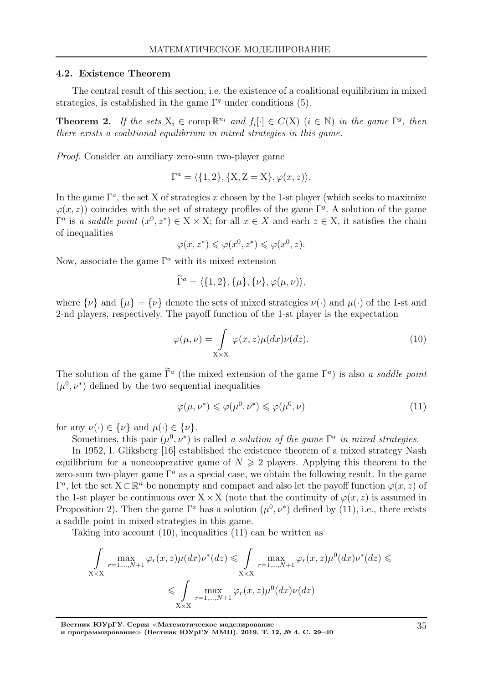### 4.2. Existence Theorem

The central result of this section, i.e. the existence of a coalitional equilibrium in mixed strategies, is established in the game  $\Gamma<sup>g</sup>$  under conditions (5).

**Theorem 2.** If the sets  $X_i \in \text{comp } \mathbb{R}^{n_i}$  and  $f_i[\cdot] \in C(X)$   $(i \in \mathbb{N})$  in the game  $\Gamma^g$ , then there exists a coalitional equilibrium in mixed strategies in this game.

Proof. Consider an auxiliary zero-sum two-player game

$$
\Gamma^{a} = \langle \{1, 2\}, \{X, Z = X\}, \varphi(x, z) \rangle.
$$

In the game  $\Gamma^a$ , the set X of strategies x chosen by the 1-st player (which seeks to maximize  $\varphi(x, z)$  coincides with the set of strategy profiles of the game  $\Gamma<sup>g</sup>$ . A solution of the game  $\Gamma^a$  is a saddle point  $(x^0, z^*) \in X \times X$ ; for all  $x \in X$  and each  $z \in X$ , it satisfies the chain of inequalities

$$
\varphi(x, z^*) \leqslant \varphi(x^0, z^*) \leqslant \varphi(x^0, z).
$$

Now, associate the game  $\Gamma^a$  with its mixed extension

$$
\widetilde{\Gamma}^a = \langle \{1, 2\}, \{\mu\}, \{\nu\}, \varphi(\mu, \nu) \rangle,
$$

where  $\{\nu\}$  and  $\{\mu\} = \{\nu\}$  denote the sets of mixed strategies  $\nu(\cdot)$  and  $\mu(\cdot)$  of the 1-st and 2-nd players, respectively. The payoff function of the 1-st player is the expectation

$$
\varphi(\mu,\nu) = \int_{X \times X} \varphi(x,z)\mu(dx)\nu(dz). \tag{10}
$$

The solution of the game  $\Gamma^a$  (the mixed extension of the game  $\Gamma^a$ ) is also a saddle point  $(\mu^0, \nu^*)$  defined by the two sequential inequalities

$$
\varphi(\mu, \nu^*) \leq \varphi(\mu^0, \nu^*) \leq \varphi(\mu^0, \nu) \tag{11}
$$

for any  $\nu(\cdot) \in {\{\nu\}}$  and  $\mu(\cdot) \in {\{\nu\}}$ .

Sometimes, this pair  $(\mu^0, \nu^*)$  is called a solution of the game  $\Gamma^a$  in mixed strategies.

In 1952, I. Gliksberg [16] established the existence theorem of a mixed strategy Nash equilibrium for a noncooperative game of  $N \geq 2$  players. Applying this theorem to the zero-sum two-player game  $\Gamma^a$  as a special case, we obtain the following result. In the game  $\Gamma^a$ , let the set  $X \subset \mathbb{R}^n$  be nonempty and compact and also let the payoff function  $\varphi(x, z)$  of the 1-st player be continuous over  $X \times X$  (note that the continuity of  $\varphi(x, z)$ ) is assumed in Proposition 2). Then the game  $\Gamma^a$  has a solution  $(\mu^0, \nu^*)$  defined by (11), i.e., there exists a saddle point in mixed strategies in this game.

Taking into account (10), inequalities (11) can be written as

$$
\int_{X\times X} \max_{r=1,\ldots,N+1} \varphi_r(x,z)\mu(dx)\nu^*(dz) \leq \int_{X\times X} \max_{r=1,\ldots,N+1} \varphi_r(x,z)\mu^0(dx)\nu^*(dz) \leq
$$
\n
$$
\leq \int_{X\times X} \max_{r=1,\ldots,N+1} \varphi_r(x,z)\mu^0(dx)\nu(dz)
$$

Вестник ЮУрГУ. Серия <sup>≪</sup>Математическое моделирование и программирование<sup>≫</sup> (Вестник ЮУрГУ ММП). 2019. Т. 12, № 4. С. 29–40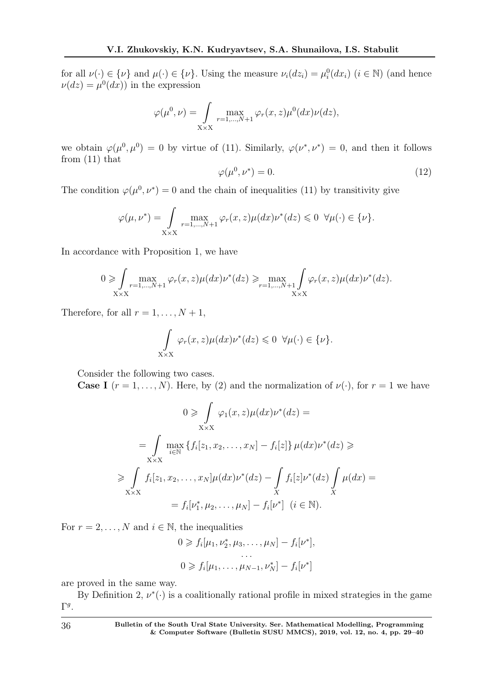for all  $\nu(\cdot) \in {\{\nu\}}$  and  $\mu(\cdot) \in {\{\nu\}}$ . Using the measure  $\nu_i(dz_i) = \mu_i^0(dx_i)$   $(i \in \mathbb{N})$  (and hence  $\nu(dz) = \mu^0(dx)$  in the expression

$$
\varphi(\mu^0, \nu) = \int \limits_{X \times X} \max_{r=1,\dots,N+1} \varphi_r(x, z) \mu^0(dx) \nu(dz),
$$

we obtain  $\varphi(\mu^0, \mu^0) = 0$  by virtue of (11). Similarly,  $\varphi(\nu^*, \nu^*) = 0$ , and then it follows from (11) that

$$
\varphi(\mu^0, \nu^*) = 0. \tag{12}
$$

The condition  $\varphi(\mu^0, \nu^*) = 0$  and the chain of inequalities (11) by transitivity give

$$
\varphi(\mu, \nu^*) = \int_{X \times X} \max_{r=1,\dots,N+1} \varphi_r(x, z) \mu(dx) \nu^*(dz) \leq 0 \ \forall \mu(\cdot) \in \{\nu\}.
$$

In accordance with Proposition 1, we have

$$
0 \geqslant \int \max_{x \in \mathbb{R}^{n},...,N+1} \varphi_r(x,z) \mu(dx) \nu^*(dz) \geqslant \max_{r=1,...,N+1} \int_{X \times X} \varphi_r(x,z) \mu(dx) \nu^*(dz).
$$

Therefore, for all  $r = 1, \ldots, N + 1$ ,

$$
\int_{X\times X} \varphi_r(x, z)\mu(dx)\nu^*(dz) \leq 0 \ \forall \mu(\cdot) \in \{\nu\}.
$$

Consider the following two cases.

**Case I**  $(r = 1, ..., N)$ . Here, by (2) and the normalization of  $\nu(\cdot)$ , for  $r = 1$  we have

$$
0 \geq \int_{X \times X} \varphi_1(x, z) \mu(dx) \nu^*(dz) =
$$
  
\n
$$
= \int_{X \times X} \max_{i \in \mathbb{N}} \{ f_i[z_1, x_2, \dots, x_N] - f_i[z] \} \mu(dx) \nu^*(dz) \geq
$$
  
\n
$$
\geq \int_{X \times X} f_i[z_1, x_2, \dots, x_N] \mu(dx) \nu^*(dz) - \int_{X} f_i[z] \nu^*(dz) \int_{X} \mu(dx) =
$$
  
\n
$$
= f_i[\nu_1^*, \mu_2, \dots, \mu_N] - f_i[\nu^*] \ (i \in \mathbb{N}).
$$

For  $r = 2, ..., N$  and  $i \in \mathbb{N}$ , the inequalities

$$
0 \geqslant f_i[\mu_1, \nu_2^*, \mu_3, \dots, \mu_N] - f_i[\nu^*],
$$
  
...  

$$
0 \geqslant f_i[\mu_1, \dots, \mu_{N-1}, \nu_N^*] - f_i[\nu^*]
$$

are proved in the same way.

By Definition 2,  $\nu^*(\cdot)$  is a coalitionally rational profile in mixed strategies in the game  $\Gamma^g$ .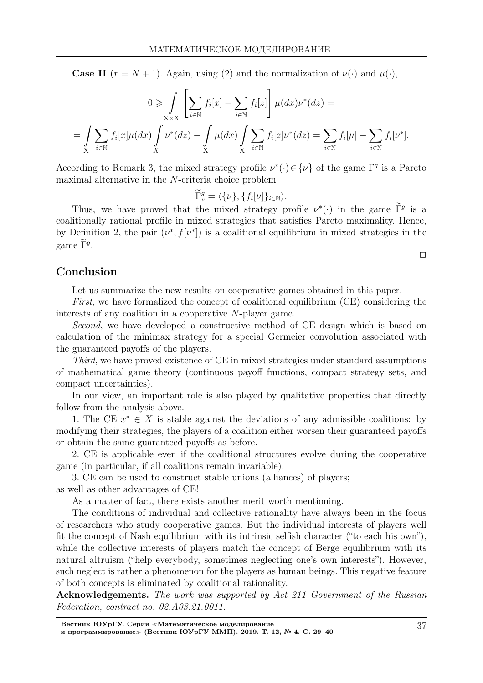**Case II**  $(r = N + 1)$ . Again, using (2) and the normalization of  $\nu(\cdot)$  and  $\mu(\cdot)$ ,

$$
0 \geqslant \int_{X \times X} \left[ \sum_{i \in \mathbb{N}} f_i[x] - \sum_{i \in \mathbb{N}} f_i[z] \right] \mu(dx) \nu^*(dz) =
$$
  
= 
$$
\int_{X} \sum_{i \in \mathbb{N}} f_i[x] \mu(dx) \int_{X} \nu^*(dz) - \int_{X} \mu(dx) \int_{X} \sum_{i \in \mathbb{N}} f_i[z] \nu^*(dz) = \sum_{i \in \mathbb{N}} f_i[\mu] - \sum_{i \in \mathbb{N}} f_i[\nu^*].
$$

According to Remark 3, the mixed strategy profile  $\nu^*(\cdot) \in {\{\nu\}}$  of the game  $\Gamma^g$  is a Pareto maximal alternative in the N-criteria choice problem

$$
\widetilde{\Gamma}_v^g = \langle \{\nu\}, \{f_i[\nu]\}_{i \in \mathbb{N}} \rangle.
$$

Thus, we have proved that the mixed strategy profile  $\nu^*(\cdot)$  in the game  $\Gamma^g$  is a coalitionally rational profile in mixed strategies that satisfies Pareto maximality. Hence, by Definition 2, the pair  $(\nu^*, f[\nu^*])$  is a coalitional equilibrium in mixed strategies in the game  $\tilde{\Gamma}^g$ .

 $\Box$ 

# Conclusion

Let us summarize the new results on cooperative games obtained in this paper.

First, we have formalized the concept of coalitional equilibrium (CE) considering the interests of any coalition in a cooperative N-player game.

Second, we have developed a constructive method of CE design which is based on calculation of the minimax strategy for a special Germeier convolution associated with the guaranteed payoffs of the players.

Third, we have proved existence of CE in mixed strategies under standard assumptions of mathematical game theory (continuous payoff functions, compact strategy sets, and compact uncertainties).

In our view, an important role is also played by qualitative properties that directly follow from the analysis above.

1. The CE  $x^* \in X$  is stable against the deviations of any admissible coalitions: by modifying their strategies, the players of a coalition either worsen their guaranteed payoffs or obtain the same guaranteed payoffs as before.

2. CE is applicable even if the coalitional structures evolve during the cooperative game (in particular, if all coalitions remain invariable).

3. CE can be used to construct stable unions (alliances) of players; as well as other advantages of CE!

As a matter of fact, there exists another merit worth mentioning.

The conditions of individual and collective rationality have always been in the focus of researchers who study cooperative games. But the individual interests of players well fit the concept of Nash equilibrium with its intrinsic selfish character ("to each his own"), while the collective interests of players match the concept of Berge equilibrium with its natural altruism ("help everybody, sometimes neglecting one's own interests"). However, such neglect is rather a phenomenon for the players as human beings. This negative feature of both concepts is eliminated by coalitional rationality.

Acknowledgements. The work was supported by Act 211 Government of the Russian Federation, contract no. 02.A03.21.0011.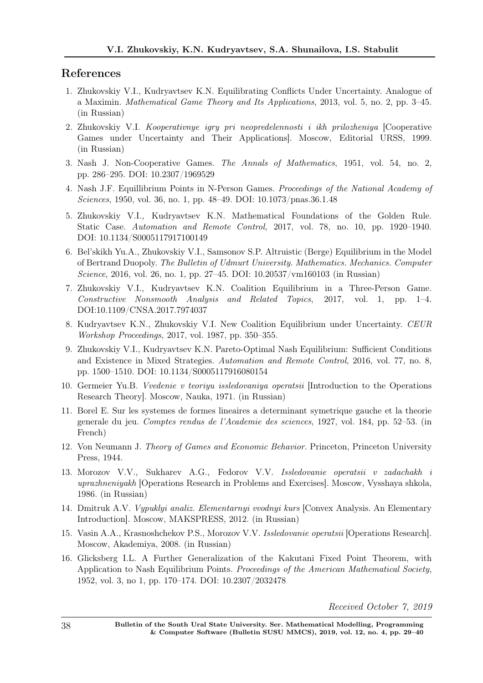# References

- 1. Zhukovskiy V.I., Kudryavtsev K.N. Equilibrating Conflicts Under Uncertainty. Analogue of a Maximin. Mathematical Game Theory and Its Applications, 2013, vol. 5, no. 2, pp. 3–45. (in Russian)
- 2. Zhukovskiy V.I. Kooperativnye igry pri neopredelennosti i ikh prilozheniya [Cooperative Games under Uncertainty and Their Applications]. Moscow, Editorial URSS, 1999. (in Russian)
- 3. Nash J. Non-Cooperative Games. The Annals of Mathematics, 1951, vol. 54, no. 2, pp. 286–295. DOI: 10.2307/1969529
- 4. Nash J.F. Equillibrium Points in N-Person Games. Proceedings of the National Academy of Sciences, 1950, vol. 36, no. 1, pp. 48–49. DOI: 10.1073/pnas.36.1.48
- 5. Zhukovskiy V.I., Kudryavtsev K.N. Mathematical Foundations of the Golden Rule. Static Case. Automation and Remote Control, 2017, vol. 78, no. 10, pp. 1920–1940. DOI: 10.1134/S0005117917100149
- 6. Bel'skikh Yu.A., Zhukovskiy V.I., Samsonov S.P. Altruistic (Berge) Equilibrium in the Model of Bertrand Duopoly. The Bulletin of Udmurt University. Mathematics. Mechanics. Computer Science, 2016, vol. 26, no. 1, pp. 27–45. DOI: 10.20537/vm160103 (in Russian)
- 7. Zhukovskiy V.I., Kudryavtsev K.N. Coalition Equilibrium in a Three-Person Game. Constructive Nonsmooth Analysis and Related Topics, 2017, vol. 1, pp. 1–4. DOI:10.1109/CNSA.2017.7974037
- 8. Kudryavtsev K.N., Zhukovskiy V.I. New Coalition Equilibrium under Uncertainty. CEUR Workshop Proceedings, 2017, vol. 1987, pp. 350–355.
- 9. Zhukovskiy V.I., Kudryavtsev K.N. Pareto-Optimal Nash Equilibrium: Sufficient Conditions and Existence in Mixed Strategies. Automation and Remote Control, 2016, vol. 77, no. 8, pp. 1500–1510. DOI: 10.1134/S0005117916080154
- 10. Germeier Yu.B. Vvedenie v teoriyu issledovaniya operatsii [Introduction to the Operations Research Theory]. Moscow, Nauka, 1971. (in Russian)
- 11. Borel E. Sur les systemes de formes lineaires a determinant symetrique gauche et la theorie generale du jeu. Comptes rendus de l'Academie des sciences, 1927, vol. 184, pp. 52–53. (in French)
- 12. Von Neumann J. Theory of Games and Economic Behavior. Princeton, Princeton University Press, 1944.
- 13. Morozov V.V., Sukharev A.G., Fedorov V.V. Issledovanie operatsii v zadachakh i uprazhneniyakh [Operations Research in Problems and Exercises]. Moscow, Vysshaya shkola, 1986. (in Russian)
- 14. Dmitruk A.V. Vypuklyi analiz. Elementarnyi vvodnyi kurs [Convex Analysis. An Elementary Introduction]. Moscow, MAKSPRESS, 2012. (in Russian)
- 15. Vasin A.A., Krasnoshchekov P.S., Morozov V.V. Issledovanie operatsii [Operations Research]. Moscow, Akademiya, 2008. (in Russian)
- 16. Glicksberg I.L. A Further Generalization of the Kakutani Fixed Point Theorem, with Application to Nash Equilibrium Points. *Proceedings of the American Mathematical Society*, 1952, vol. 3, no 1, pp. 170–174. DOI: 10.2307/2032478

Received October 7, 2019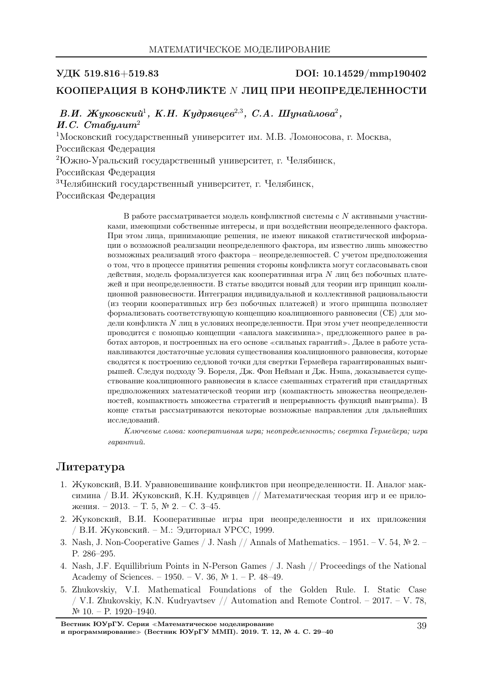## УДК 519.816+519.83 DOI: 10.14529/mmp190402

## КООПЕРАЦИЯ В КОНФЛИКТЕ N ЛИЦ ПРИ НЕОПРЕДЕЛЕННОСТИ

В.И. Жуковский $^1,~K.H.~K$ удрявцев $^{2,3},~C.A.~I$ Шунайлова $^2,~$ И.С. Стабулит<sup>2</sup> <sup>1</sup>Московский государственный университет им. М.В. Ломоносова, г. Москва, Российская Федерация <sup>2</sup>Южно-Уральский государственный университет, г. Челябинск, Российская Федерация <sup>3</sup>Челябинский государственный университет, г. Челябинск, Российская Федерация

> В работе рассматривается модель конфликтной системы с  $N$  активными участниками, имеющими собственные интересы, и при воздействии неопределенного фактора. При этом лица, принимающие решения, не имеют никакой статистической информации о возможной реализации неопределенного фактора, им известно лишь множество возможных реализаций этого фактора – неопределенностей. С учетом предположения о том, что в процессе принятия решения стороны конфликта могут согласовывать свои действия, модель формализуется как кооперативная игра N лиц без побочных платежей и при неопределенности. В статье вводится новый для теории игр принцип коалиционной равновесности. Интеграция индивидуальной и коллективной рациональности (из теории кооперативных игр без побочных платежей) и этого принципа позволяет формализовать соответствующую концепцию коалиционного равновесия (CE) для модели конфликта N лиц в условиях неопределенности. При этом учет неопределенности проводится с помощью концепции <sup>≪</sup>аналога максимина≫, предложенного ранее в работах авторов, и построенных на его основе <sup>≪</sup>сильных гарантий≫. Далее в работе устанавливаются достаточные условия существования коалиционного равновесия, которые сводятся к построению седловой точки для свертки Гермейера гарантированных выигрышей. Следуя подходу Э. Бореля, Дж. Фон Нейман и Дж. Нэша, доказывается существование коалиционного равновесия в классе смешанных стратегий при стандартных предположениях математической теории игр (компактность множества неопределенностей, компактность множества стратегий и непрерывность функций выигрыша). В конце статьи рассматриваются некоторые возможные направления для дальнейших исследований.

> Ключевые слова: кооперативная игра; неопределенность; свертка Гермейера; игра гарантий.

# Литература

- 1. Жуковский, В.И. Уравновешивание конфликтов при неопределенности. II. Аналог максимина / В.И. Жуковский, К.Н. Кудрявцев // Математическая теория игр и ее приложения. – 2013. – Т. 5, № 2. – С. 3–45.
- 2. Жуковский, В.И. Кооперативные игры при неопределенности и их приложения / В.И. Жуковский. – М.: Эдиториал УРСС, 1999.
- 3. Nash, J. Non-Cooperative Games / J. Nash // Annals of Mathematics. 1951. V. 54, № 2. P. 286–295.
- 4. Nash, J.F. Equillibrium Points in N-Person Games / J. Nash // Proceedings of the National Academy of Sciences. – 1950. – V. 36,  $\mathbb{N}^2$  1. – P. 48–49.
- 5. Zhukovskiy, V.I. Mathematical Foundations of the Golden Rule. I. Static Case / V.I. Zhukovskiy, K.N. Kudryavtsev // Automation and Remote Control. – 2017. – V. 78, № 10. – P. 1920–1940.